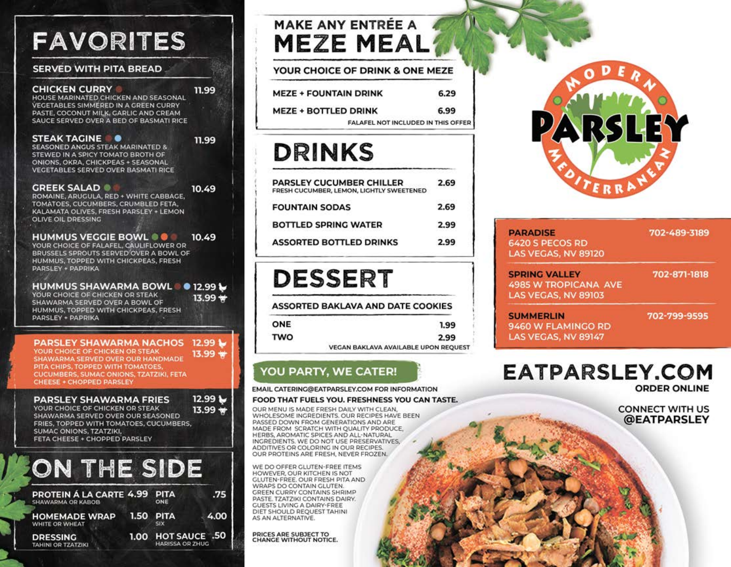# **FAVORITES**

#### **SERVED WITH PITA BREAD**

### **CHICKEN CURRY**

#### HOUSE MARINATED CHICKEN AND SEASONAL VEGETABLES SIMMERED IN A GREEN CURRY PASTE, COCONUT MILK, GARLIC AND CREAM SAUCE SERVED OVER A BED OF BASMATI RICE

#### STEAK TAGINE **O SEASONED ANGUS STEAK MARINATED &** STEWED IN A SPICY TOMATO BROTH OF ONIONS, OKRA, CHICKPEAS + SEASONAL **VEGETABLES SERVED OVER BASMATI RICE**

### 11.99

10.49

11.99

#### **GREEK SALAD** ROMAINE, ARUGULA, RED + WHITE CABBAGE, TOMATOES, CUCUMBERS, CRUMBLED FETA.

KALAMATA OLIVES, FRESH PARSLEY + LEMON **OLIVE OIL DRESSING** 

#### **HUMMUS VEGGIE BOWL @ @** 10.49

YOUR CHOICE OF FALAFEL, CAULIFLOWER OR BRUSSELS SPROUTS SERVED OVER A BOWL OF HUMMUS, TOPPED WITH CHICKPEAS, FRESH PARSLEY + PAPRIKA

#### **HUMMUS SHAWARMA BOWL** ● 12.99 ↓ YOUR CHOICE OF CHICKEN OR STEAK

SHAWARMA SERVED OVER A BOWL OF HUMMUS, TOPPED WITH CHICKPEAS, FRESH PARSLEY + PAPRIKA

### $13.99 +$

**PARSLEY SHAWARMA NACHOS** 12.99 1 YOUR CHOICE OF CHICKEN OR STEAK 13.99 \* SHAWARMA SERVED OVER OUR HANDMADE PITA CHIPS, TOPPED WITH TOMATOES, **CUCUMBERS, SUMAC ONIONS, TZATZIKI, FETA** CHEESE + CHOPPED PARSLEY

#### **PARSLEY SHAWARMA FRIES**

12.99 L YOUR CHOICE OF CHICKEN OR STEAK  $13.99 +$ SHAWARMA SERVED OVER OUR SEASONED FRIES, TOPPED WITH TOMATOES, CUCUMBERS, SUMAC ONIONS, TZATZIKI. FETA CHEESE + CHOPPED PARSLEY

## ON THE SIDE

| PROTEIN Á LA CARTE 4.99 PITA<br>SHAWARMA OR KABOB | ONE                                          | .75  |
|---------------------------------------------------|----------------------------------------------|------|
| HOMEMADE WRAP 1.50 PITA<br>WHITE OR WHEAT         | <b>SIX</b>                                   | 4.00 |
| <b>DRESSING</b><br><b>TAHINI OR TZATZIKI</b>      | 1.00 HOT SAUCE .50<br><b>HARISSA OR ZHUG</b> |      |

### **MAKE ANY ENTRÉE A MEZE MEAL**

| YOUR CHOICE OF DRINK & ONE MEZE    |      |
|------------------------------------|------|
| <b>MEZE + FOUNTAIN DRINK</b>       | 6.29 |
| <b>MEZE + BOTTLED DRINK</b>        | 6.99 |
| FALAFEL NOT INCLUDED IN THIS OFFER |      |

### **DRINKS**

| PARSLEY CUCUMBER CHILLER<br>FRESH CUCUMBER, LEMON, LIGHTLY SWEETENED | 2.69 |
|----------------------------------------------------------------------|------|
| <b>FOUNTAIN SODAS</b>                                                | 2.69 |
| BOTTLED SPRING WATER                                                 | 2.99 |
| <b>ASSORTED BOTTLED DRINKS</b>                                       | 2.99 |
|                                                                      |      |

### **DESSERT**

**ASSORTED BAKLAVA AND DATE COOKIES** 

| <b>ONE</b> | 1.99                                        |
|------------|---------------------------------------------|
| <b>TWO</b> | 2.99                                        |
|            | <b>VEGAN BAKLAVA AVAILABLE UPON REOUEST</b> |

### **YOU PARTY, WE CATER!**

EMAIL CATERING@EATPARSLEY.COM FOR INFORMATION

#### FOOD THAT FUELS YOU. FRESHNESS YOU CAN TASTE.

OUR MENU IS MADE FRESH DAILY WITH CLEAN. WHOLESOME INGREDIENTS. OUR RECIPES HAVE BEEN PASSED DOWN FROM GENERATIONS AND ARE MADE FROM SCRATCH WITH OUALITY PRODUCE HERBS, AROMATIC SPICES AND ALL-NATURAL INGREDIENTS. WE DO NOT USE PRESERVATIVES ADDITIVES OR COLORING IN OUR RECIPES. OUR PROTEINS ARE FRESH, NEVER FROZEN.

WE DO OFFER GLUTEN-FREE ITEMS HOWEVER, OUR KITCHEN IS NOT GLUTEN-FREE. OUR FRESH PITA AND WRAPS DO CONTAIN GLUTEN. GREEN CURRY CONTAINS SHRIMP PASTE. TZATZIKI CONTAINS DAIRY. **GUESTS LIVING A DAIRY-FREE** DIET SHOULD REQUEST TAHINI AS AN ALTERNATIVE.

PRICES ARE SUBJECT TO<br>CHANGE WITHOUT NOTICE.



| <b>PARADISE</b><br>6420 S PECOS RD<br>LAS VEGAS, NV 89120                  | 702-489-3189 |
|----------------------------------------------------------------------------|--------------|
| <b>SPRING VALLEY</b><br><b>4985 W TROPICANA AVE</b><br>LAS VEGAS, NV 89103 | 702-871-1818 |
| <b>SUMMERLIN</b>                                                           | 702-799-9595 |

### 9460 W FLAMINGO RD LAS VEGAS, NV 89147

### **EATPARSLEY.COM ORDER ONLINE**

**CONNECT WITH US** @EATPARSLEY